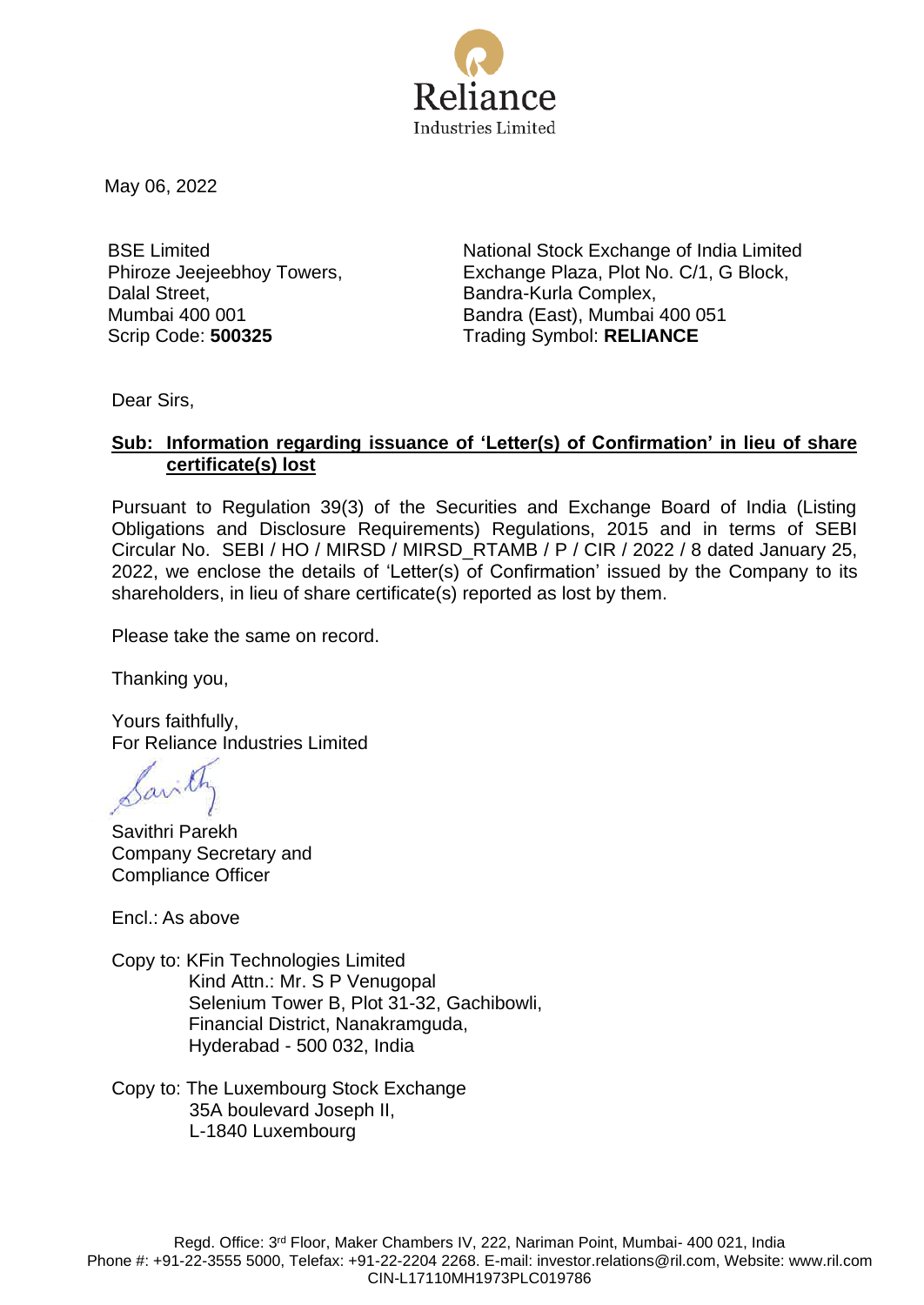

May 06, 2022

BSE Limited Phiroze Jeejeebhoy Towers, Dalal Street, Mumbai 400 001

National Stock Exchange of India Limited Exchange Plaza, Plot No. C/1, G Block, Bandra-Kurla Complex, Bandra (East), Mumbai 400 051 Scrip Code: **500325** Trading Symbol: **RELIANCE**

Dear Sirs,

## **Sub: Information regarding issuance of 'Letter(s) of Confirmation' in lieu of share certificate(s) lost**

Pursuant to Regulation 39(3) of the Securities and Exchange Board of India (Listing Obligations and Disclosure Requirements) Regulations, 2015 and in terms of SEBI Circular No. SEBI / HO / MIRSD / MIRSD\_RTAMB / P / CIR / 2022 / 8 dated January 25, 2022, we enclose the details of 'Letter(s) of Confirmation' issued by the Company to its shareholders, in lieu of share certificate(s) reported as lost by them.

Please take the same on record.

Thanking you,

Yours faithfully, For Reliance Industries Limited

Sarith

Savithri Parekh Company Secretary and Compliance Officer

Encl.: As above

- Copy to: KFin Technologies Limited Kind Attn.: Mr. S P Venugopal Selenium Tower B, Plot 31-32, Gachibowli, Financial District, Nanakramguda, Hyderabad - 500 032, India
- Copy to: The Luxembourg Stock Exchange 35A boulevard Joseph II, L-1840 Luxembourg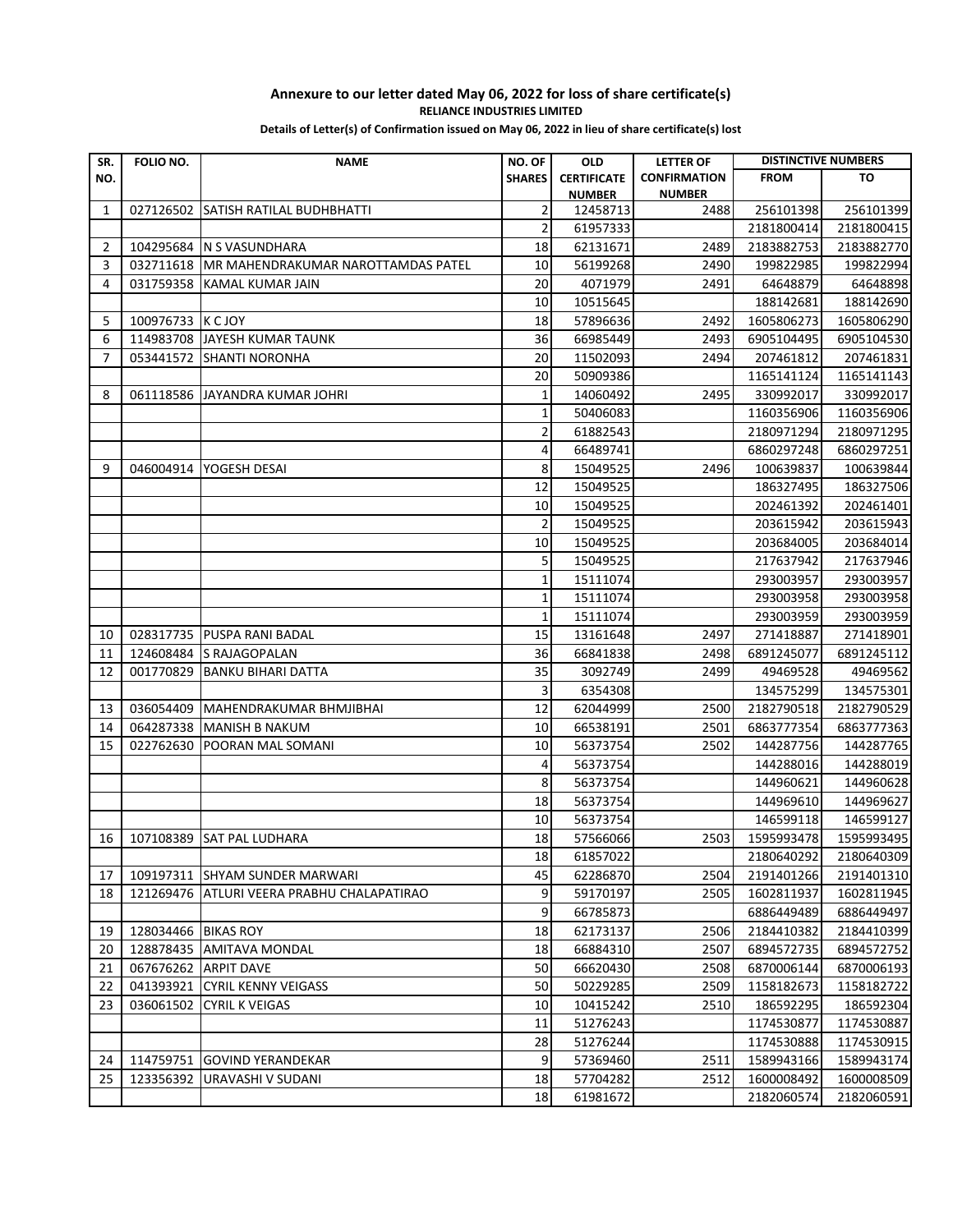## **Annexure to our letter dated May 06, 2022 for loss of share certificate(s) RELIANCE INDUSTRIES LIMITED**

**Details of Letter(s) of Confirmation issued on May 06, 2022 in lieu of share certificate(s) lost**

| SR.            | <b>FOLIO NO.</b>    | <b>NAME</b>                                | NO. OF         | <b>OLD</b>                          | <b>LETTER OF</b>                     | <b>DISTINCTIVE NUMBERS</b> |            |
|----------------|---------------------|--------------------------------------------|----------------|-------------------------------------|--------------------------------------|----------------------------|------------|
| NO.            |                     |                                            | <b>SHARES</b>  | <b>CERTIFICATE</b><br><b>NUMBER</b> | <b>CONFIRMATION</b><br><b>NUMBER</b> | <b>FROM</b>                | TO         |
| 1              | 027126502           | <b>SATISH RATILAL BUDHBHATTI</b>           | $\overline{2}$ | 12458713                            | 2488                                 | 256101398                  | 256101399  |
|                |                     |                                            | $\overline{2}$ | 61957333                            |                                      | 2181800414                 | 2181800415 |
| $\overline{2}$ |                     | 104295684 N S VASUNDHARA                   | 18             | 62131671                            | 2489                                 | 2183882753                 | 2183882770 |
| 3              | 032711618           | MR MAHENDRAKUMAR NAROTTAMDAS PATEL         | 10             | 56199268                            | 2490                                 | 199822985                  | 199822994  |
| 4              | 031759358           | KAMAL KUMAR JAIN                           | 20             | 4071979                             | 2491                                 | 64648879                   | 64648898   |
|                |                     |                                            | 10             | 10515645                            |                                      | 188142681                  | 188142690  |
| 5              | 100976733 K C JOY   |                                            | 18             | 57896636                            | 2492                                 | 1605806273                 | 1605806290 |
| 6              | 114983708           | JAYESH KUMAR TAUNK                         | 36             | 66985449                            | 2493                                 | 6905104495                 | 6905104530 |
| 7              | 053441572           | <b>SHANTI NORONHA</b>                      | 20             | 11502093                            | 2494                                 | 207461812                  | 207461831  |
|                |                     |                                            | 20             | 50909386                            |                                      | 1165141124                 | 1165141143 |
| 8              | 061118586           | JAYANDRA KUMAR JOHRI                       | 1              | 14060492                            | 2495                                 | 330992017                  | 330992017  |
|                |                     |                                            | $\mathbf{1}$   | 50406083                            |                                      | 1160356906                 | 1160356906 |
|                |                     |                                            | $\mathbf 2$    | 61882543                            |                                      | 2180971294                 | 2180971295 |
|                |                     |                                            | 4              | 66489741                            |                                      | 6860297248                 | 6860297251 |
| 9              | 046004914           | YOGESH DESAI                               | 8              | 15049525                            | 2496                                 | 100639837                  | 100639844  |
|                |                     |                                            | 12             | 15049525                            |                                      | 186327495                  | 186327506  |
|                |                     |                                            | 10             | 15049525                            |                                      | 202461392                  | 202461401  |
|                |                     |                                            | $\overline{2}$ | 15049525                            |                                      | 203615942                  | 203615943  |
|                |                     |                                            | 10             | 15049525                            |                                      | 203684005                  | 203684014  |
|                |                     |                                            | 5              | 15049525                            |                                      | 217637942                  | 217637946  |
|                |                     |                                            | $\mathbf{1}$   | 15111074                            |                                      | 293003957                  | 293003957  |
|                |                     |                                            | $\mathbf{1}$   | 15111074                            |                                      | 293003958                  | 293003958  |
|                |                     |                                            | $\mathbf{1}$   | 15111074                            |                                      | 293003959                  | 293003959  |
| 10             | 028317735           | <b>PUSPA RANI BADAL</b>                    | 15             | 13161648                            | 2497                                 | 271418887                  | 271418901  |
| 11             |                     | 124608484 S RAJAGOPALAN                    | 36             | 66841838                            | 2498                                 | 6891245077                 | 6891245112 |
| 12             | 001770829           | <b>BANKU BIHARI DATTA</b>                  | 35             | 3092749                             | 2499                                 | 49469528                   | 49469562   |
|                |                     |                                            | 3              | 6354308                             |                                      | 134575299                  | 134575301  |
| 13             | 036054409           | MAHENDRAKUMAR BHMJIBHAI                    | 12             | 62044999                            | 2500                                 | 2182790518                 | 2182790529 |
| 14             | 064287338           | MANISH B NAKUM                             | 10             | 66538191                            | 2501                                 | 6863777354                 | 6863777363 |
| 15             | 022762630           | POORAN MAL SOMANI                          | 10             | 56373754                            | 2502                                 | 144287756                  | 144287765  |
|                |                     |                                            | 4              | 56373754                            |                                      | 144288016                  | 144288019  |
|                |                     |                                            | 8              | 56373754                            |                                      | 144960621                  | 144960628  |
|                |                     |                                            | 18             | 56373754                            |                                      | 144969610                  | 144969627  |
|                |                     |                                            | 10             | 56373754                            |                                      | 146599118                  | 146599127  |
| 16             |                     | 107108389 SAT PAL LUDHARA                  | 18             | 57566066                            | 2503                                 | 1595993478                 | 1595993495 |
|                |                     |                                            | 18             | 61857022                            |                                      | 2180640292                 | 2180640309 |
| 17             |                     | 109197311 SHYAM SUNDER MARWARI             | 45             | 62286870                            | 2504                                 | 2191401266                 | 2191401310 |
| 18             |                     | 121269476 ATLURI VEERA PRABHU CHALAPATIRAO | 9              | 59170197                            | 2505                                 | 1602811937                 | 1602811945 |
|                |                     |                                            | 9              | 66785873                            |                                      | 6886449489                 | 6886449497 |
| 19             | 128034466 BIKAS ROY |                                            | 18             | 62173137                            | 2506                                 | 2184410382                 | 2184410399 |
| 20             |                     | 128878435 AMITAVA MONDAL                   | 18             | 66884310                            | 2507                                 | 6894572735                 | 6894572752 |
| 21             |                     | 067676262 ARPIT DAVE                       | 50             | 66620430                            | 2508                                 | 6870006144                 | 6870006193 |
| 22             |                     | 041393921 CYRIL KENNY VEIGASS              | 50             | 50229285                            | 2509                                 | 1158182673                 | 1158182722 |
| 23             | 036061502           | <b>CYRIL K VEIGAS</b>                      | 10             | 10415242                            | 2510                                 | 186592295                  | 186592304  |
|                |                     |                                            | 11             | 51276243                            |                                      | 1174530877                 | 1174530887 |
|                |                     |                                            | 28             | 51276244                            |                                      | 1174530888                 | 1174530915 |
| 24             | 114759751           | <b>GOVIND YERANDEKAR</b>                   | 9              | 57369460                            | 2511                                 | 1589943166                 | 1589943174 |
| 25             | 123356392           | URAVASHI V SUDANI                          | 18             | 57704282                            | 2512                                 | 1600008492                 | 1600008509 |
|                |                     |                                            | 18             | 61981672                            |                                      | 2182060574                 | 2182060591 |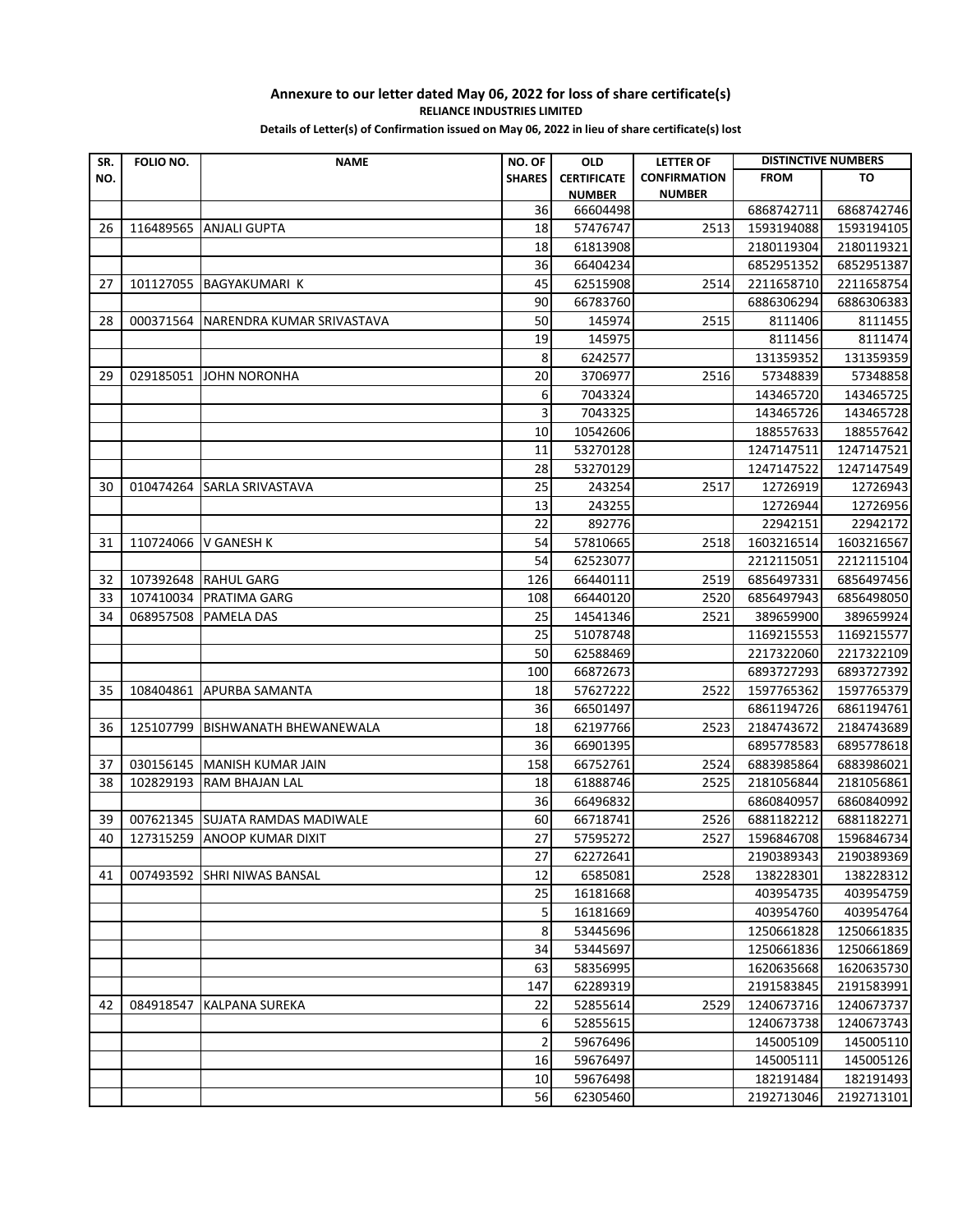## **Annexure to our letter dated May 06, 2022 for loss of share certificate(s) RELIANCE INDUSTRIES LIMITED**

**Details of Letter(s) of Confirmation issued on May 06, 2022 in lieu of share certificate(s) lost**

| SR. | FOLIO NO. | <b>NAME</b>                      | NO. OF         | <b>OLD</b>                          | <b>LETTER OF</b>                     | <b>DISTINCTIVE NUMBERS</b> |            |
|-----|-----------|----------------------------------|----------------|-------------------------------------|--------------------------------------|----------------------------|------------|
| NO. |           |                                  | <b>SHARES</b>  | <b>CERTIFICATE</b><br><b>NUMBER</b> | <b>CONFIRMATION</b><br><b>NUMBER</b> | <b>FROM</b>                | то         |
|     |           |                                  | 36             | 66604498                            |                                      | 6868742711                 | 6868742746 |
| 26  | 116489565 | <b>ANJALI GUPTA</b>              | 18             | 57476747                            | 2513                                 | 1593194088                 | 1593194105 |
|     |           |                                  | 18             | 61813908                            |                                      | 2180119304                 | 2180119321 |
|     |           |                                  | 36             | 66404234                            |                                      | 6852951352                 | 6852951387 |
| 27  | 101127055 | <b>BAGYAKUMARI K</b>             | 45             | 62515908                            | 2514                                 | 2211658710                 | 2211658754 |
|     |           |                                  | 90             | 66783760                            |                                      | 6886306294                 | 6886306383 |
| 28  | 000371564 | NARENDRA KUMAR SRIVASTAVA        | 50             | 145974                              | 2515                                 | 8111406                    | 8111455    |
|     |           |                                  | 19             | 145975                              |                                      | 8111456                    | 8111474    |
|     |           |                                  | 8              | 6242577                             |                                      | 131359352                  | 131359359  |
| 29  | 029185051 | <b>JOHN NORONHA</b>              | 20             | 3706977                             | 2516                                 | 57348839                   | 57348858   |
|     |           |                                  | 6              | 7043324                             |                                      | 143465720                  | 143465725  |
|     |           |                                  | 3              | 7043325                             |                                      | 143465726                  | 143465728  |
|     |           |                                  | 10             | 10542606                            |                                      | 188557633                  | 188557642  |
|     |           |                                  | 11             | 53270128                            |                                      | 1247147511                 | 1247147521 |
|     |           |                                  | 28             | 53270129                            |                                      | 1247147522                 | 1247147549 |
| 30  | 010474264 | SARLA SRIVASTAVA                 | 25             | 243254                              | 2517                                 | 12726919                   | 12726943   |
|     |           |                                  | 13             | 243255                              |                                      | 12726944                   | 12726956   |
|     |           |                                  | 22             | 892776                              |                                      | 22942151                   | 22942172   |
| 31  | 110724066 | V GANESH K                       | 54             | 57810665                            | 2518                                 | 1603216514                 | 1603216567 |
|     |           |                                  | 54             | 62523077                            |                                      | 2212115051                 | 2212115104 |
| 32  | 107392648 | <b>RAHUL GARG</b>                | 126            | 66440111                            | 2519                                 | 6856497331                 | 6856497456 |
| 33  | 107410034 | PRATIMA GARG                     | 108            | 66440120                            | 2520                                 | 6856497943                 | 6856498050 |
| 34  | 068957508 | PAMELA DAS                       | 25             | 14541346                            | 2521                                 | 389659900                  | 389659924  |
|     |           |                                  | 25             | 51078748                            |                                      | 1169215553                 | 1169215577 |
|     |           |                                  | 50             | 62588469                            |                                      | 2217322060                 | 2217322109 |
|     |           |                                  | 100            | 66872673                            |                                      | 6893727293                 | 6893727392 |
| 35  | 108404861 | <b>APURBA SAMANTA</b>            | 18             | 57627222                            | 2522                                 | 1597765362                 | 1597765379 |
|     |           |                                  | 36             | 66501497                            |                                      | 6861194726                 | 6861194761 |
| 36  | 125107799 | <b>BISHWANATH BHEWANEWALA</b>    | 18             | 62197766                            | 2523                                 | 2184743672                 | 2184743689 |
|     |           |                                  | 36             | 66901395                            |                                      | 6895778583                 | 6895778618 |
| 37  |           | 030156145 MANISH KUMAR JAIN      | 158            | 66752761                            | 2524                                 | 6883985864                 | 6883986021 |
| 38  | 102829193 | <b>RAM BHAJAN LAL</b>            | 18             | 61888746                            | 2525                                 | 2181056844                 | 2181056861 |
|     |           |                                  | 36             | 66496832                            |                                      | 6860840957                 | 6860840992 |
| 39  |           | 007621345 SUJATA RAMDAS MADIWALE | 60             | 66718741                            | 2526                                 | 6881182212                 | 6881182271 |
| 40  |           | 127315259 ANOOP KUMAR DIXIT      | 27             | 57595272                            | 2527                                 | 1596846708                 | 1596846734 |
|     |           |                                  | 27             | 62272641                            |                                      | 2190389343                 | 2190389369 |
| 41  | 007493592 | <b>SHRI NIWAS BANSAL</b>         | 12             | 6585081                             | 2528                                 | 138228301                  | 138228312  |
|     |           |                                  | 25             | 16181668                            |                                      | 403954735                  | 403954759  |
|     |           |                                  | 5              | 16181669                            |                                      | 403954760                  | 403954764  |
|     |           |                                  | 8              | 53445696                            |                                      | 1250661828                 | 1250661835 |
|     |           |                                  | 34             | 53445697                            |                                      | 1250661836                 | 1250661869 |
|     |           |                                  | 63             | 58356995                            |                                      | 1620635668                 | 1620635730 |
|     |           |                                  | 147            | 62289319                            |                                      | 2191583845                 | 2191583991 |
| 42  | 084918547 | <b>KALPANA SUREKA</b>            | 22             | 52855614                            | 2529                                 | 1240673716                 | 1240673737 |
|     |           |                                  | 6              | 52855615                            |                                      | 1240673738                 | 1240673743 |
|     |           |                                  | $\overline{2}$ | 59676496                            |                                      | 145005109                  | 145005110  |
|     |           |                                  | 16             | 59676497                            |                                      | 145005111                  | 145005126  |
|     |           |                                  | 10             | 59676498                            |                                      | 182191484                  | 182191493  |
|     |           |                                  | 56             | 62305460                            |                                      | 2192713046                 | 2192713101 |